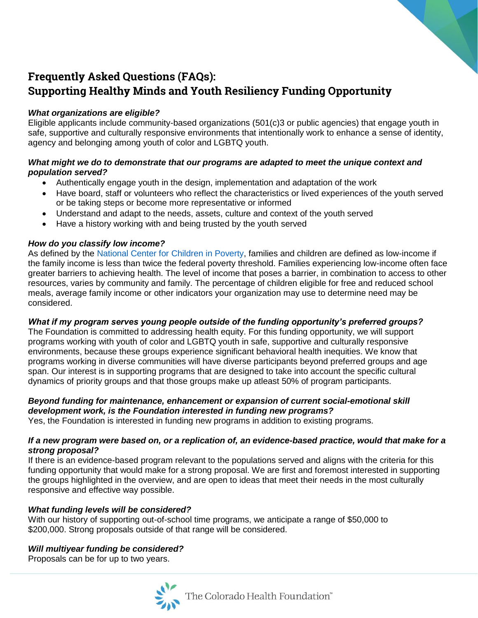# **Frequently Asked Questions (FAQs): Supporting Healthy Minds and Youth Resiliency Funding Opportunity**

# *What organizations are eligible?*

Eligible applicants include community-based organizations (501(c)3 or public agencies) that engage youth in safe, supportive and culturally responsive environments that intentionally work to enhance a sense of identity, agency and belonging among youth of color and LGBTQ youth.

# *What might we do to demonstrate that our programs are adapted to meet the unique context and population served?*

- Authentically engage youth in the design, implementation and adaptation of the work
- Have board, staff or volunteers who reflect the characteristics or lived experiences of the youth served or be taking steps or become more representative or informed
- Understand and adapt to the needs, assets, culture and context of the youth served
- Have a history working with and being trusted by the youth served

# *How do you classify low income?*

As defined by the National Center for Children in Poverty, families and children are defined as low-income if the family income is less than twice the federal poverty threshold. Families experiencing low-income often face greater barriers to achieving health. The level of income that poses a barrier, in combination to access to other resources, varies by community and family. The percentage of children eligible for free and reduced school meals, average family income or other indicators your organization may use to determine need may be considered.

## *What if my program serves young people outside of the funding opportunity's preferred groups?*

The Foundation is committed to addressing health equity. For this funding opportunity, we will support programs working with youth of color and LGBTQ youth in safe, supportive and culturally responsive environments, because these groups experience significant behavioral health inequities. We know that programs working in diverse communities will have diverse participants beyond preferred groups and age span. Our interest is in supporting programs that are designed to take into account the specific cultural dynamics of priority groups and that those groups make up atleast 50% of program participants.

# *Beyond funding for maintenance, enhancement or expansion of current social-emotional skill development work, is the Foundation interested in funding new programs?*

Yes, the Foundation is interested in funding new programs in addition to existing programs.

#### *If a new program were based on, or a replication of, an evidence-based practice, would that make for a strong proposal?*

If there is an evidence-based program relevant to the populations served and aligns with the criteria for this funding opportunity that would make for a strong proposal. We are first and foremost interested in supporting the groups highlighted in the overview, and are open to ideas that meet their needs in the most culturally responsive and effective way possible.

## *What funding levels will be considered?*

With our history of supporting out-of-school time programs, we anticipate a range of \$50,000 to \$200,000. Strong proposals outside of that range will be considered.

## *Will multiyear funding be considered?*

Proposals can be for up to two years.